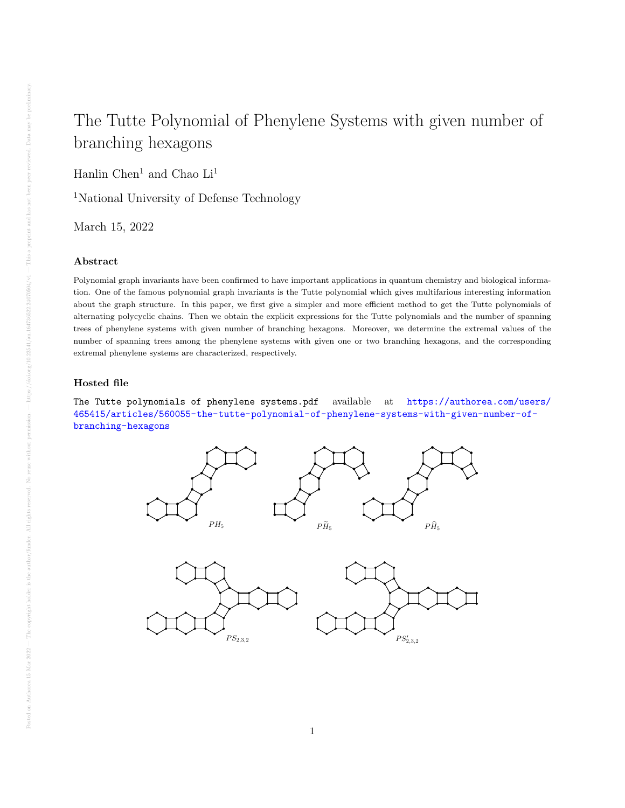## The Tutte Polynomial of Phenylene Systems with given number of branching hexagons

Hanlin Chen<sup>1</sup> and Chao  $\rm Li^1$ 

<sup>1</sup>National University of Defense Technology

March 15, 2022

## Abstract

Polynomial graph invariants have been confirmed to have important applications in quantum chemistry and biological information. One of the famous polynomial graph invariants is the Tutte polynomial which gives multifarious interesting information about the graph structure. In this paper, we first give a simpler and more efficient method to get the Tutte polynomials of alternating polycyclic chains. Then we obtain the explicit expressions for the Tutte polynomials and the number of spanning trees of phenylene systems with given number of branching hexagons. Moreover, we determine the extremal values of the number of spanning trees among the phenylene systems with given one or two branching hexagons, and the corresponding extremal phenylene systems are characterized, respectively.

## Hosted file

The Tutte polynomials of phenylene systems.pdf available at [https://authorea.com/users/](https://authorea.com/users/465415/articles/560055-the-tutte-polynomial-of-phenylene-systems-with-given-number-of-branching-hexagons) [465415/articles/560055-the-tutte-polynomial-of-phenylene-systems-with-given-number-of](https://authorea.com/users/465415/articles/560055-the-tutte-polynomial-of-phenylene-systems-with-given-number-of-branching-hexagons)[branching-hexagons](https://authorea.com/users/465415/articles/560055-the-tutte-polynomial-of-phenylene-systems-with-given-number-of-branching-hexagons)